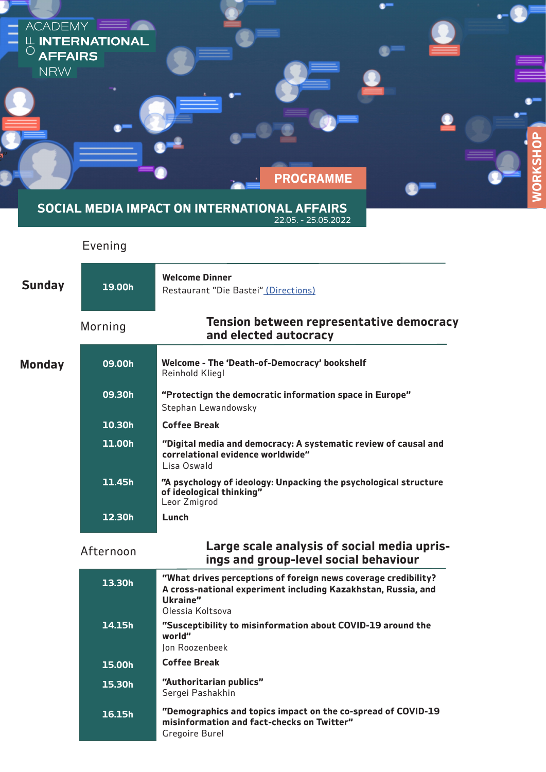| -<br>-<br>-<br><b>AFFAIRS</b><br><b>NRW</b> | ACADEMY <b>EXAM</b><br><b>LE INTERNATIONAL</b> | $\bullet$<br><b>PROGRAMME</b>                                                                                       | <u>ռ</u><br>$\overline{O}$<br>Œ<br><b>RKS</b><br>$\overline{Q}$ |
|---------------------------------------------|------------------------------------------------|---------------------------------------------------------------------------------------------------------------------|-----------------------------------------------------------------|
|                                             |                                                | SOCIAL MEDIA IMPACT ON INTERNATIONAL AFFAIRS<br>22.05. - 25.05.2022                                                 |                                                                 |
|                                             | Evening                                        |                                                                                                                     |                                                                 |
| <b>Sunday</b>                               | 19.00h                                         | <b>Welcome Dinner</b><br>Restaurant "Die Bastei" (Directions)                                                       |                                                                 |
|                                             | Morning                                        | Tension between representative democracy<br>and elected autocracy                                                   |                                                                 |
| <b>Monday</b>                               | 09.00h                                         | Welcome - The 'Death-of-Democracy' bookshelf<br>Reinhold Kliegl                                                     |                                                                 |
|                                             | 09.30h                                         | "Protectign the democratic information space in Europe"<br>Stephan Lewandowsky                                      |                                                                 |
|                                             | 10.30h                                         | <b>Coffee Break</b>                                                                                                 |                                                                 |
|                                             | 11.00h                                         | "Digital media and democracy: A systematic review of causal and<br>correlational evidence worldwide"<br>Lisa Oswald |                                                                 |
|                                             | 11.45h                                         | "A psychology of ideology: Unpacking the psychological structure                                                    |                                                                 |

| 15h | "A psychology of ideology: Unpacking the psychological structure<br>of ideological thinking" |
|-----|----------------------------------------------------------------------------------------------|
|     | Leor Zmigrod                                                                                 |

**12.30h**

**Lunch**

| Afternoon | Large scale analysis of social media upris- |
|-----------|---------------------------------------------|
|           | ings and group-level social behaviour       |

| 13.30h | "What drives perceptions of foreign news coverage credibility?<br>A cross-national experiment including Kazakhstan, Russia, and<br>Ukraine"<br>Olessia Koltsova |
|--------|-----------------------------------------------------------------------------------------------------------------------------------------------------------------|
| 14.15h | "Susceptibility to misinformation about COVID-19 around the<br>world"<br>Jon Roozenbeek                                                                         |
| 15.00h | <b>Coffee Break</b>                                                                                                                                             |
| 15.30h | "Authoritarian publics"<br>Sergei Pashakhin                                                                                                                     |
| 16.15h | "Demographics and topics impact on the co-spread of COVID-19<br>misinformation and fact-checks on Twitter"<br>Gregoire Burel                                    |